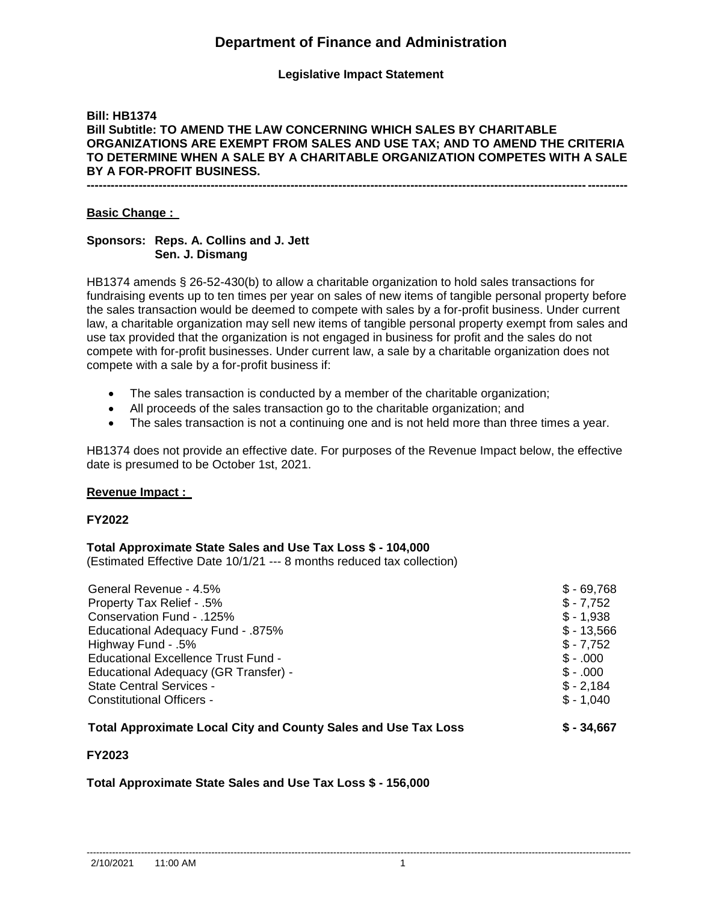# **Department of Finance and Administration**

## **Legislative Impact Statement**

## **Bill: HB1374 Bill Subtitle: TO AMEND THE LAW CONCERNING WHICH SALES BY CHARITABLE ORGANIZATIONS ARE EXEMPT FROM SALES AND USE TAX; AND TO AMEND THE CRITERIA TO DETERMINE WHEN A SALE BY A CHARITABLE ORGANIZATION COMPETES WITH A SALE BY A FOR-PROFIT BUSINESS. ---------------------------------------------------------------------------------------------------------------------------------------**

## **Basic Change :**

## **Sponsors: Reps. A. Collins and J. Jett Sen. J. Dismang**

HB1374 amends § 26-52-430(b) to allow a charitable organization to hold sales transactions for fundraising events up to ten times per year on sales of new items of tangible personal property before the sales transaction would be deemed to compete with sales by a for-profit business. Under current law, a charitable organization may sell new items of tangible personal property exempt from sales and use tax provided that the organization is not engaged in business for profit and the sales do not compete with for-profit businesses. Under current law, a sale by a charitable organization does not compete with a sale by a for-profit business if:

- The sales transaction is conducted by a member of the charitable organization;
- All proceeds of the sales transaction go to the charitable organization; and
- The sales transaction is not a continuing one and is not held more than three times a year.

HB1374 does not provide an effective date. For purposes of the Revenue Impact below, the effective date is presumed to be October 1st, 2021.

### **Revenue Impact :**

### **FY2022**

### **Total Approximate State Sales and Use Tax Loss \$ - 104,000**

(Estimated Effective Date 10/1/21 --- 8 months reduced tax collection)

| General Revenue - 4.5%                   | $$ -69.768$ |
|------------------------------------------|-------------|
| Property Tax Relief - .5%                | $$ - 7,752$ |
| Conservation Fund - .125%                | $$ -1,938$  |
| <b>Educational Adequacy Fund - .875%</b> | $$ -13,566$ |
| Highway Fund - .5%                       | $$ -7,752$  |
| Educational Excellence Trust Fund -      | $$-.000$    |
| Educational Adequacy (GR Transfer) -     | $$-.000$    |
| <b>State Central Services -</b>          | $$ -2.184$  |
| Constitutional Officers -                | $$ -1,040$  |
|                                          |             |

## **Total Approximate Local City and County Sales and Use Tax Loss \$ - 34,667**

### **FY2023**

# **Total Approximate State Sales and Use Tax Loss \$ - 156,000**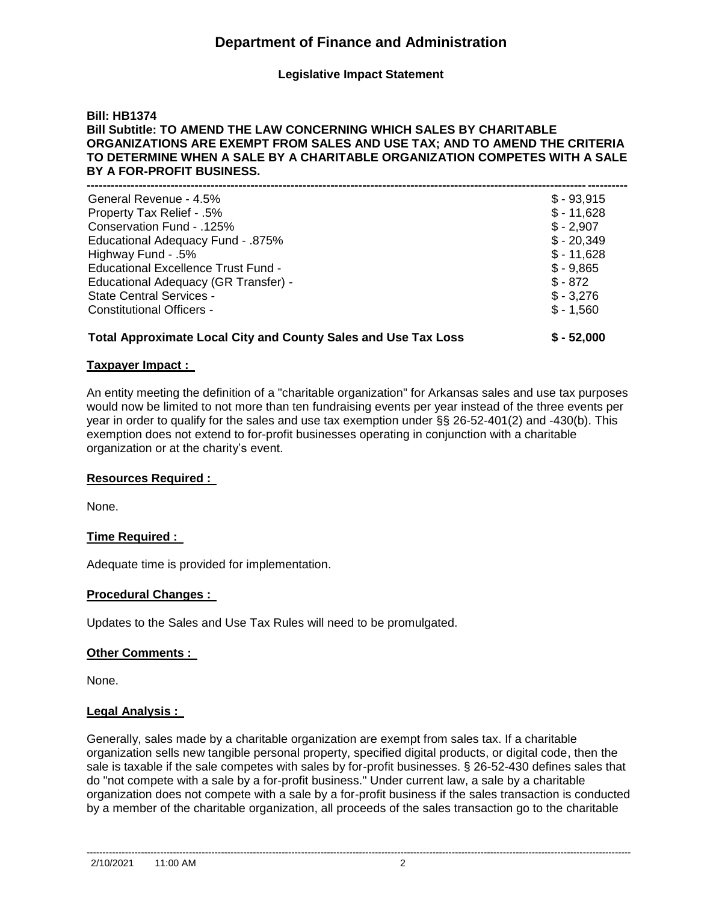# **Department of Finance and Administration**

**Legislative Impact Statement**

## **Bill: HB1374 Bill Subtitle: TO AMEND THE LAW CONCERNING WHICH SALES BY CHARITABLE ORGANIZATIONS ARE EXEMPT FROM SALES AND USE TAX; AND TO AMEND THE CRITERIA TO DETERMINE WHEN A SALE BY A CHARITABLE ORGANIZATION COMPETES WITH A SALE BY A FOR-PROFIT BUSINESS.**

| <b>Total Approximate Local City and County Sales and Use Tax Loss</b> | $$ - 52,000$ |
|-----------------------------------------------------------------------|--------------|
| <b>Constitutional Officers -</b>                                      | $$ -1,560$   |
| <b>State Central Services -</b>                                       | $$ -3,276$   |
| Educational Adequacy (GR Transfer) -                                  | $$ - 872$    |
| <b>Educational Excellence Trust Fund -</b>                            | $$ -9,865$   |
| Highway Fund - .5%                                                    | $$ - 11,628$ |
| <b>Educational Adequacy Fund - .875%</b>                              | $$ -20,349$  |
| Conservation Fund - .125%                                             | $$ -2,907$   |
| Property Tax Relief - .5%                                             | $$ - 11,628$ |
| General Revenue - 4.5%                                                | $$ -93,915$  |
|                                                                       |              |

## **Taxpayer Impact :**

An entity meeting the definition of a "charitable organization" for Arkansas sales and use tax purposes would now be limited to not more than ten fundraising events per year instead of the three events per year in order to qualify for the sales and use tax exemption under §§ 26-52-401(2) and -430(b). This exemption does not extend to for-profit businesses operating in conjunction with a charitable organization or at the charity's event.

### **Resources Required :**

None.

## **Time Required :**

Adequate time is provided for implementation.

### **Procedural Changes :**

Updates to the Sales and Use Tax Rules will need to be promulgated.

### **Other Comments :**

None.

## **Legal Analysis :**

Generally, sales made by a charitable organization are exempt from sales tax. If a charitable organization sells new tangible personal property, specified digital products, or digital code, then the sale is taxable if the sale competes with sales by for-profit businesses. § 26-52-430 defines sales that do "not compete with a sale by a for-profit business." Under current law, a sale by a charitable organization does not compete with a sale by a for-profit business if the sales transaction is conducted by a member of the charitable organization, all proceeds of the sales transaction go to the charitable

--------------------------------------------------------------------------------------------------------------------------------------------------------------------------